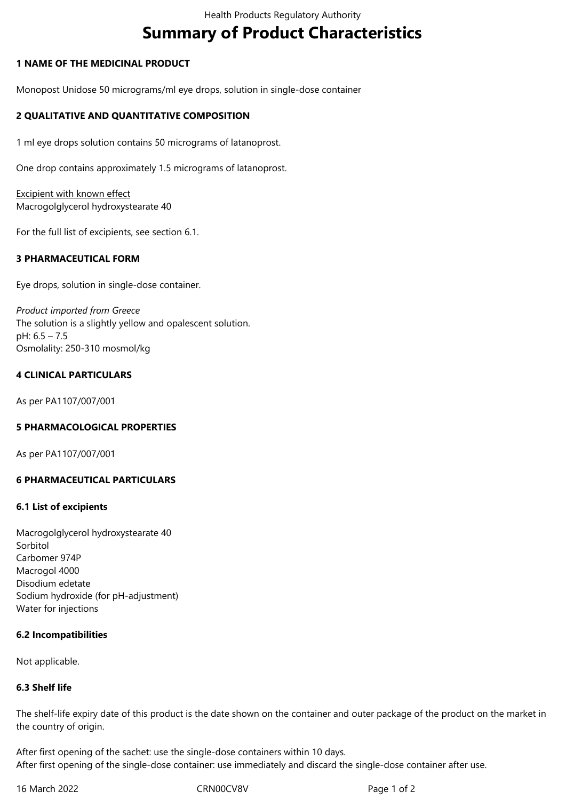# **Summary of Product Characteristics**

## **1 NAME OF THE MEDICINAL PRODUCT**

Monopost Unidose 50 micrograms/ml eye drops, solution in single-dose container

## **2 QUALITATIVE AND QUANTITATIVE COMPOSITION**

1 ml eye drops solution contains 50 micrograms of latanoprost.

One drop contains approximately 1.5 micrograms of latanoprost.

Excipient with known effect Macrogolglycerol hydroxystearate 40

For the full list of excipients, see section 6.1.

## **3 PHARMACEUTICAL FORM**

Eye drops, solution in single-dose container.

*Product imported from Greece* The solution is a slightly yellow and opalescent solution. pH: 6.5 – 7.5 Osmolality: 250-310 mosmol/kg

#### **4 CLINICAL PARTICULARS**

As per PA1107/007/001

#### **5 PHARMACOLOGICAL PROPERTIES**

As per PA1107/007/001

#### **6 PHARMACEUTICAL PARTICULARS**

#### **6.1 List of excipients**

Macrogolglycerol hydroxystearate 40 Sorbitol Carbomer 974P Macrogol 4000 Disodium edetate Sodium hydroxide (for pH-adjustment) Water for injections

#### **6.2 Incompatibilities**

Not applicable.

#### **6.3 Shelf life**

The shelf-life expiry date of this product is the date shown on the container and outer package of the product on the market in the country of origin.

After first opening of the sachet: use the single-dose containers within 10 days. After first opening of the single-dose container: use immediately and discard the single-dose container after use.

16 March 2022 CRN00CV8V Page 1 of 2